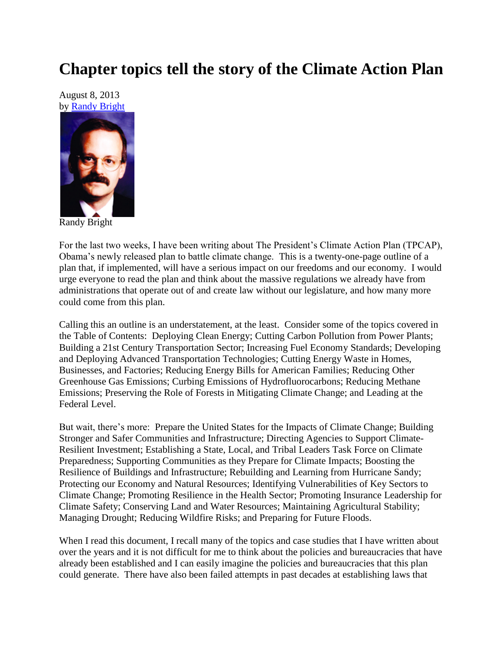## **Chapter topics tell the story of the Climate Action Plan**

August 8, 2013 by [Randy Bright](http://tulsabeacon.com/writers/randy-bright/)



Randy Bright

For the last two weeks, I have been writing about The President's Climate Action Plan (TPCAP), Obama's newly released plan to battle climate change. This is a twenty-one-page outline of a plan that, if implemented, will have a serious impact on our freedoms and our economy. I would urge everyone to read the plan and think about the massive regulations we already have from administrations that operate out of and create law without our legislature, and how many more could come from this plan.

Calling this an outline is an understatement, at the least. Consider some of the topics covered in the Table of Contents: Deploying Clean Energy; Cutting Carbon Pollution from Power Plants; Building a 21st Century Transportation Sector; Increasing Fuel Economy Standards; Developing and Deploying Advanced Transportation Technologies; Cutting Energy Waste in Homes, Businesses, and Factories; Reducing Energy Bills for American Families; Reducing Other Greenhouse Gas Emissions; Curbing Emissions of Hydrofluorocarbons; Reducing Methane Emissions; Preserving the Role of Forests in Mitigating Climate Change; and Leading at the Federal Level.

But wait, there's more: Prepare the United States for the Impacts of Climate Change; Building Stronger and Safer Communities and Infrastructure; Directing Agencies to Support Climate-Resilient Investment; Establishing a State, Local, and Tribal Leaders Task Force on Climate Preparedness; Supporting Communities as they Prepare for Climate Impacts; Boosting the Resilience of Buildings and Infrastructure; Rebuilding and Learning from Hurricane Sandy; Protecting our Economy and Natural Resources; Identifying Vulnerabilities of Key Sectors to Climate Change; Promoting Resilience in the Health Sector; Promoting Insurance Leadership for Climate Safety; Conserving Land and Water Resources; Maintaining Agricultural Stability; Managing Drought; Reducing Wildfire Risks; and Preparing for Future Floods.

When I read this document, I recall many of the topics and case studies that I have written about over the years and it is not difficult for me to think about the policies and bureaucracies that have already been established and I can easily imagine the policies and bureaucracies that this plan could generate. There have also been failed attempts in past decades at establishing laws that